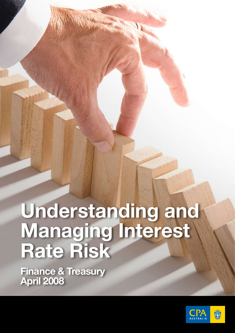# **Understanding and Managing Interest Rate Risk**

**Finance & Treasury April 2008**

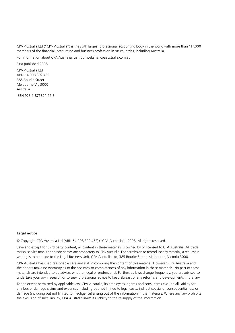CPA Australia Ltd ("CPA Australia") is the sixth largest professional accounting body in the world with more than 117,000 members of the financial, accounting and business profession in 98 countries, including Australia.

For information about CPA Australia, visit our website: cpaaustralia.com.au

First published 2008 CPA Australia Ltd ABN 64 008 392 452 385 Bourke Street Melbourne Vic 3000 Australia

ISBN 978-1-876874-22-3

#### **Legal notice**

© Copyright CPA Australia Ltd (ABN 64 008 392 452) ("CPA Australia"), 2008. All rights reserved.

Save and except for third party content, all content in these materials is owned by or licensed to CPA Australia. All trade marks, service marks and trade names are proprietory to CPA Australia. For permission to reproduce any material, a request in writing is to be made to the Legal Business Unit, CPA Australia Ltd, 385 Bourke Street, Melbourne, Victoria 3000.

CPA Australia has used reasonable care and skill in compiling the content of this material. However, CPA Australia and the editors make no warranty as to the accuracy or completeness of any information in these materials. No part of these materials are intended to be advice, whether legal or professional. Further, as laws change frequently, you are advised to undertake your own research or to seek professional advice to keep abreast of any reforms and developments in the law.

To the extent permitted by applicable law, CPA Australia, its employees, agents and consultants exclude all liability for any loss or damage claims and expenses including but not limited to legal costs, indirect special or consequential loss or damage (including but not limited to, negligence) arising out of the information in the materials. Where any law prohibits the exclusion of such liability, CPA Australia limits its liability to the re-supply of the information.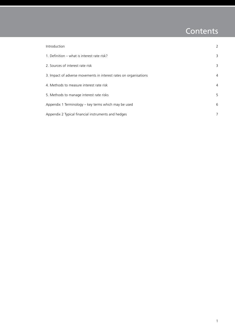# Contents

| Introduction                                                      | 2              |
|-------------------------------------------------------------------|----------------|
| 1. Definition – what is interest rate risk?                       | 3              |
| 2. Sources of interest rate risk                                  | 3              |
| 3. Impact of adverse movements in interest rates on organisations | $\overline{4}$ |
| 4. Methods to measure interest rate risk                          | $\overline{4}$ |
| 5. Methods to manage interest rate risks                          | 5              |
| Appendix 1 Terminology – key terms which may be used              | 6              |
| Appendix 2 Typical financial instruments and hedges               | 7              |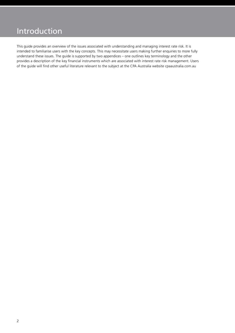## Introduction

This guide provides an overview of the issues associated with understanding and managing interest rate risk. It is intended to familiarise users with the key concepts. This may necessitate users making further enquiries to more fully understand these issues. The guide is supported by two appendices – one outlines key terminology and the other provides a description of the key financial instruments which are associated with interest rate risk management. Users of the guide will find other useful literature relevant to the subject at the CPA Australia website cpaaustralia.com.au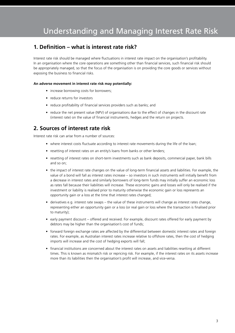### **1. Definition – what is interest rate risk?**

Interest rate risk should be managed where fluctuations in interest rate impact on the organisation's profitability. In an organisation where the core operations are something other than financial services, such financial risk should be appropriately managed, so that the focus of the organisation is on providing the core goods or services without exposing the business to financial risks.

#### **An adverse movement in interest rate risk may potentially:**

- increase borrowing costs for borrowers;
- reduce returns for investors
- reduce profitability of financial services providers such as banks; and
- reduce the net present value (NPV) of organisations due to the effect of changes in the discount rate (interest rate) on the value of financial instruments, hedges and the return on projects.

## **2. Sources of interest rate risk**

Interest rate risk can arise from a number of sources:

- where interest costs fluctuate according to interest rate movements during the life of the loan;
- resetting of interest rates on an entity's loans from banks or other lenders;
- resetting of interest rates on short-term investments such as bank deposits, commercial paper, bank bills and so on;
- • the impact of interest rate changes on the value of long-term financial assets and liabilities. For example, the value of a bond will fall as interest rates increase – so investors in such instruments will initially benefit from a decrease in interest rates and similarly borrowers of long-term funds may initially suffer an economic loss as rates fall because their liabilities will increase. These economic gains and losses will only be realised if the investment or liability is realised prior to maturity otherwise the economic gain or loss represents an opportunity gain or a loss at the time that interest rates changed;
- derivatives e.g. interest rate swaps the value of these instruments will change as interest rates change, representing either an opportunity gain or a loss (or real gain or loss where the transaction is finalised prior to maturity);
- early payment discount offered and received. For example, discount rates offered for early payment by debtors may be higher than the organisation's cost of funds;
- • forward foreign exchange rates are affected by the differential between domestic interest rates and foreign rates. For example, as Australian interest rates increase relative to offshore rates, then the cost of hedging imports will increase and the cost of hedging exports will fall;
- • financial institutions are concerned about the interest rates on assets and liabilities resetting at different times. This is known as mismatch risk or repricing risk. For example, if the interest rates on its assets increase more than its liabilities then the organisation's profit will increase, and vice-versa.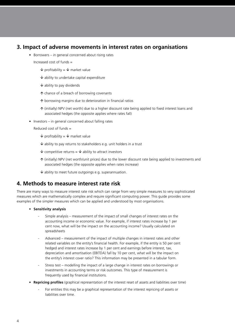#### **3. Impact of adverse movements in interest rates on organisations**

• Borrowers – in general concerned about rising rates

Increased cost of funds =

- $\overline{\mathsf{V}}$  profitability =  $\overline{\mathsf{V}}$  market value
- $\overline{\mathsf{v}}$  ability to undertake capital expenditure
- $\overline{\mathsf{V}}$  ability to pay dividends
- $\uparrow$  chance of a breach of borrowing covenants
- $\uparrow$  borrowing margins due to deterioration in financial ratios
- $\uparrow$  (initially) NPV (net worth) due to a higher discount rate being applied to fixed interest loans and associated hedges (the opposite applies where rates fall)
- Investors in general concerned about falling rates

Reduced cost of funds =

- $\overline{\mathsf{V}}$  profitability =  $\overline{\mathsf{V}}$  market value
- $\overline{\mathsf{V}}$  ability to pay returns to stakeholders e.g. unit holders in a trust
- $\overline{\mathsf{v}}$  competitive returns =  $\overline{\mathsf{v}}$  ability to attract investors
- $\uparrow$  (initially) NPV (net worth/unit prices) due to the lower discount rate being applied to investments and associated hedges (the opposite applies when rates increase)
- $\overline{\mathsf{V}}$  ability to meet future outgoings e.g. superannuation.

#### **4. Methods to measure interest rate risk**

There are many ways to measure interest rate risk which can range from very simple measures to very sophisticated measures which are mathematically complex and require significant computing power. This guide provides some examples of the simpler measures which can be applied and understood by most organisations.

- **• Sensitivity analysis**
	- Simple analysis measurement of the impact of small changes of interest rates on the accounting income or economic value. For example, if interest rates increase by 1 per cent now, what will be the impact on the accounting income? Usually calculated on spreadsheets
	- Advanced measurement of the impact of multiple changes in interest rates and other related variables on the entity's financial health. For example, if the entity is 50 per cent hedged and interest rates increase by 1 per cent and earnings before interest, tax, depreciation and amortisation (EBITDA) fall by 10 per cent, what will be the impact on the entity's interest cover ratio? This information may be presented in a tabular form.
	- Stress test modelling the impact of a large change in interest rates on borrowings or investments in accounting terms or risk outcomes. This type of measurement is frequently used by financial institutions.
- **• Repricing profiles** (graphical representation of the interest reset of assets and liabilities over time)
	- For entities this may be a graphical representation of the interest repricing of assets or liabilities over time.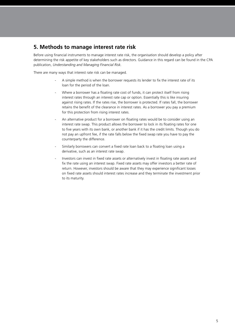## **5. Methods to manage interest rate risk**

Before using financial instruments to manage interest rate risk, the organisation should develop a policy after determining the risk appetite of key stakeholders such as directors. Guidance in this regard can be found in the CPA publication, *Understanding and Managing Financial Risk.*

There are many ways that interest rate risk can be managed.

- A simple method is when the borrower requests its lender to fix the interest rate of its loan for the period of the loan.
- Where a borrower has a floating rate cost of funds, it can protect itself from rising interest rates through an interest rate cap or option. Essentially this is like insuring against rising rates. If the rates rise, the borrower is protected. If rates fall, the borrower retains the benefit of the clearance in interest rates. As a borrower you pay a premium for this protection from rising interest rates.
- An alternative product for a borrower on floating rates would be to consider using an interest rate swap. This product allows the borrower to lock in its floating rates for one to five years with its own bank, or another bank if it has the credit limits. Though you do not pay an upfront fee, if the rate falls below the fixed swap rate you have to pay the counterparty the difference.
- Similarly borrowers can convert a fixed rate loan back to a floating loan using a derivative, such as an interest rate swap.
- Investors can invest in fixed rate assets or alternatively invest in floating rate assets and fix the rate using an interest swap. Fixed rate assets may offer investors a better rate of return. However, investors should be aware that they may experience significant losses on fixed rate assets should interest rates increase and they terminate the investment prior to its maturity.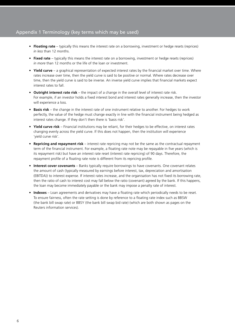#### Appendix 1 Terminology (key terms which may be used)

- **Floating rate** typically this means the interest rate on a borrowing, investment or hedge resets (reprices) *in less* than 12 months.
- **Fixed rate** typically this means the interest rate on a borrowing, investment or hedge resets (reprices) *in more* than 12 months or the life of the loan or investment.
- **• Yield curve**  a graphical representation of expected interest rates by the financial market over time. Where rates increase over time, then the yield curve is said to be positive or normal. Where rates decrease over time, then the yield curve is said to be inverse. An inverse yield curve implies that financial markets expect interest rates to fall.
- **• Outright interest rate risk**  the impact of a change in the overall level of interest rate risk. For example, if an investor holds a fixed interest bond and interest rates generally increase, then the investor will experience a loss.
- **• Basis risk**  the change in the interest rate of one instrument relative to another. For hedges to work perfectly, the value of the hedge must change exactly in line with the financial instrument being hedged as interest rates change. If they don't then there is 'basis risk'.
- **• Yield curve risk**  Financial institutions may be reliant, for their hedges to be effective, on interest rates changing evenly across the yield curve. If this does not happen, then the institution will experience 'yield curve risk'.
- **• Repricing and repayment risk**  interest rate repricing may not be the same as the contractual repayment term of the financial instrument. For example, a floating rate note may be repayable in five years (which is its repayment risk) but have an interest rate reset (interest rate repricing) of 90 days. Therefore, the repayment profile of a floating rate note is different from its repricing profile.
- **Interest cover covenants** Banks typically require borrowings to have covenants. One covenant relates the amount of cash (typically measured by earnings before interest, tax, depreciation and amortisation (EBITDA)) to interest expense. If interest rates increase, and the organisation has not fixed its borrowing rate, then the ratio of cash to interest cost may fall below the ratio (covenant) agreed by the bank. If this happens, the loan may become immediately payable or the bank may impose a penalty rate of interest.
- **• Indexes** Loan agreements and derivatives may have a floating rate which periodically needs to be reset. To ensure fairness, often the rate setting is done by reference to a floating rate index such as BBSW (the bank bill swap rate) or BBSY (the bank bill swap bid rate) (which are both shown as pages on the Reuters information services).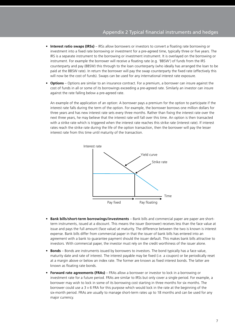- **• Interest ratio swaps (IRSs)** IRSs allow borrowers or investors to convert a floating rate borrowing or investment into a fixed rate borrowing or investment for a pre-agreed time, typically three or five years. The IRS is a separate instrument to the borrowing or investment instrument. It is overlayed on the borrowing or instrument. For example the borrower will receive a floating rate (e.g. 'BBSW') of funds from the IRS counterparty and pay (BBSW) this through to the loan counterparty (who ideally has arranged the loan to be paid at the BBSW rate). In return the borrower will pay the swap counterparty the fixed rate (effectively this will now be the cost of funds). Swaps can be used for any international interest rate exposure.
- **• Options**  Options are similar to an insurance contract. For a premium, a borrower can insure against the cost of funds in all or some of its borrowings exceeding a pre-agreed rate. Similarly an investor can insure against the rate falling below a pre-agreed rate.

An example of the application of an option: A borrower pays a premium for the option to participate if the interest rate falls during the term of the option. For example, the borrower borrows one million dollars for three years and has new interest rate sets every three months. Rather than fixing the interest rate over the next three years, he may believe that the interest rate will fall over this time. An option is then transacted with a strike rate which is triggered when the interest rate reaches this strike rate (interest rate). If interest rates reach the strike rate during the life of the option transaction, then the borrower will pay the lesser interest rate from this time until maturity of the transaction.



- **• Bank bills/short-term borrowings/investments**  Bank bills and commercial paper are paper are shortterm instruments, issued at a discount. This means the issuer (borrower) receives less than the face value at issue and pays the full amount (face value) at maturity. The difference between the two is known is interest expense. Bank bills differ from commercial paper in that the issuer of bank bills has entered into an agreement with a bank to guarantee payment should the issuer default. This makes bank bills attractive to investors. With commercial paper, the investor must rely on the credit worthiness of the issuer alone.
- **• Bonds**  Bonds are instruments issued by borrowers to investors. The bond typically has a face value, maturity date and rate of interest. The interest payable may be fixed (i.e. a coupon) or be periodically reset at a margin above or below an index rate. The former are known as fixed interest bonds. The latter are known as floating rate bonds.
- **• Forward rate agreements (FRAs)** FRAs allow a borrower or investor to lock in a borrowing or investment rate for a future period. FRAs are similar to IRSs but only cover a single period. For example, a borrower may wish to lock in some of its borrowing cost starting in three months for six months. The borrower could use a 3 v 6 FRA for this purpose which would lock in the rate at the beginning of the six-month period. FRAs are usually to manage short-term rates up to 18 months and can be used for any major currency.